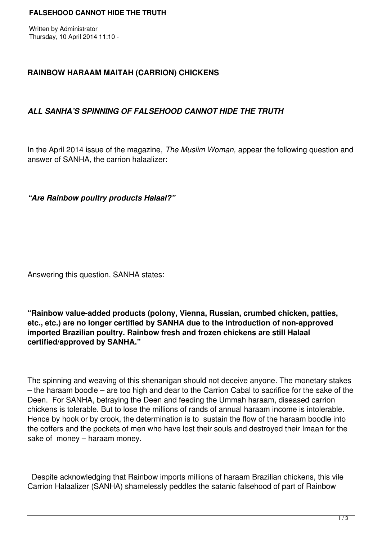Written by Administrator Thursday, 10 April 2014 11:10 -

## **RAINBOW HARAAM MAITAH (CARRION) CHICKENS**

## *ALL SANHA'S SPINNING OF FALSEHOOD CANNOT HIDE THE TRUTH*

In the April 2014 issue of the magazine, *The Muslim Woman,* appear the following question and answer of SANHA, the carrion halaalizer:

*"Are Rainbow poultry products Halaal?"*

Answering this question, SANHA states:

**"Rainbow value-added products (polony, Vienna, Russian, crumbed chicken, patties, etc., etc.) are no longer certified by SANHA due to the introduction of non-approved imported Brazilian poultry. Rainbow fresh and frozen chickens are still Halaal certified/approved by SANHA."**

The spinning and weaving of this shenanigan should not deceive anyone. The monetary stakes – the haraam boodle – are too high and dear to the Carrion Cabal to sacrifice for the sake of the Deen. For SANHA, betraying the Deen and feeding the Ummah haraam, diseased carrion chickens is tolerable. But to lose the millions of rands of annual haraam income is intolerable. Hence by hook or by crook, the determination is to sustain the flow of the haraam boodle into the coffers and the pockets of men who have lost their souls and destroyed their Imaan for the sake of money – haraam money.

 Despite acknowledging that Rainbow imports millions of haraam Brazilian chickens, this vile Carrion Halaalizer (SANHA) shamelessly peddles the satanic falsehood of part of Rainbow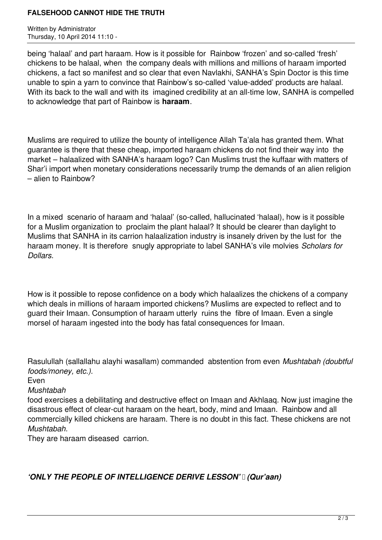### **FALSEHOOD CANNOT HIDE THE TRUTH**

Written by Administrator Thursday, 10 April 2014 11:10 -

being 'halaal' and part haraam. How is it possible for Rainbow 'frozen' and so-called 'fresh' chickens to be halaal, when the company deals with millions and millions of haraam imported chickens, a fact so manifest and so clear that even Navlakhi, SANHA's Spin Doctor is this time unable to spin a yarn to convince that Rainbow's so-called 'value-added' products are halaal. With its back to the wall and with its imagined credibility at an all-time low, SANHA is compelled to acknowledge that part of Rainbow is **haraam**.

Muslims are required to utilize the bounty of intelligence Allah Ta'ala has granted them. What guarantee is there that these cheap, imported haraam chickens do not find their way into the market – halaalized with SANHA's haraam logo? Can Muslims trust the kuffaar with matters of Shar'i import when monetary considerations necessarily trump the demands of an alien religion – alien to Rainbow?

In a mixed scenario of haraam and 'halaal' (so-called, hallucinated 'halaal), how is it possible for a Muslim organization to proclaim the plant halaal? It should be clearer than daylight to Muslims that SANHA in its carrion halaalization industry is insanely driven by the lust for the haraam money. It is therefore snugly appropriate to label SANHA's vile molvies *Scholars for Dollars.*

How is it possible to repose confidence on a body which halaalizes the chickens of a company which deals in millions of haraam imported chickens? Muslims are expected to reflect and to guard their Imaan. Consumption of haraam utterly ruins the fibre of Imaan. Even a single morsel of haraam ingested into the body has fatal consequences for Imaan.

Rasulullah (sallallahu alayhi wasallam) commanded abstention from even *Mushtabah (doubtful foods/money, etc.).* 

Even

*Mushtabah* 

food exercises a debilitating and destructive effect on Imaan and Akhlaaq. Now just imagine the disastrous effect of clear-cut haraam on the heart, body, mind and Imaan. Rainbow and all commercially killed chickens are haraam. There is no doubt in this fact. These chickens are not *Mushtabah.*

They are haraam diseased carrion.

## *'ONLY THE PEOPLE OF INTELLIGENCE DERIVE LESSON' (Qur'aan)*